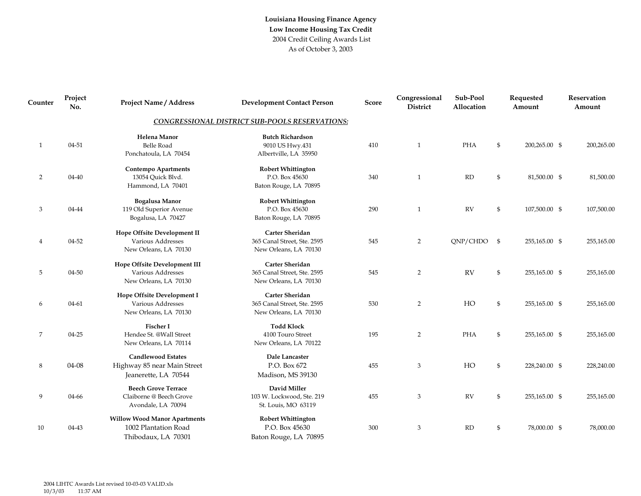| Counter        | Project<br>No. | <b>Project Name / Address</b>                                                      | <b>Development Contact Person</b>                                       | ${\bf Score}$ | Congressional<br><b>District</b> | Sub-Pool<br>Allocation | Requested<br>Amount | Reservation<br>Amount |
|----------------|----------------|------------------------------------------------------------------------------------|-------------------------------------------------------------------------|---------------|----------------------------------|------------------------|---------------------|-----------------------|
|                |                | CONGRESSIONAL DISTRICT SUB-POOLS RESERVATIONS:                                     |                                                                         |               |                                  |                        |                     |                       |
| $\mathbf{1}$   | $04 - 51$      | Helena Manor<br><b>Belle Road</b><br>Ponchatoula, LA 70454                         | <b>Butch Richardson</b><br>9010 US Hwy.431<br>Albertville, LA 35950     | 410           | $\mathbf{1}$                     | PHA                    | \$<br>200,265.00 \$ | 200,265.00            |
| $\overline{2}$ | 04-40          | <b>Contempo Apartments</b><br>13054 Quick Blvd.<br>Hammond, LA 70401               | <b>Robert Whittington</b><br>P.O. Box 45630<br>Baton Rouge, LA 70895    | 340           | $\mathbf{1}$                     | RD                     | \$<br>81,500.00 \$  | 81,500.00             |
| 3              | 04-44          | <b>Bogalusa Manor</b><br>119 Old Superior Avenue<br>Bogalusa, LA 70427             | <b>Robert Whittington</b><br>P.O. Box 45630<br>Baton Rouge, LA 70895    | 290           | $\mathbf{1}$                     | ${\rm RV}$             | \$<br>107,500.00 \$ | 107,500.00            |
| $\overline{4}$ | 04-52          | Hope Offsite Development II<br>Various Addresses<br>New Orleans, LA 70130          | Carter Sheridan<br>365 Canal Street, Ste. 2595<br>New Orleans, LA 70130 | 545           | $\overline{2}$                   | $QNP/CHDO$ \$          | 255,165.00 \$       | 255,165.00            |
| 5              | 04-50          | Hope Offsite Development III<br>Various Addresses<br>New Orleans, LA 70130         | Carter Sheridan<br>365 Canal Street, Ste. 2595<br>New Orleans, LA 70130 | 545           | $\overline{2}$                   | RV                     | \$<br>255,165.00 \$ | 255,165.00            |
| 6              | 04-61          | Hope Offsite Development I<br>Various Addresses<br>New Orleans, LA 70130           | Carter Sheridan<br>365 Canal Street, Ste. 2595<br>New Orleans, LA 70130 | 530           | 2                                | HO                     | \$<br>255,165.00 \$ | 255,165.00            |
| 7              | 04-25          | <b>Fischer I</b><br>Hendee St. @Wall Street<br>New Orleans, LA 70114               | <b>Todd Klock</b><br>4100 Touro Street<br>New Orleans, LA 70122         | 195           | 2                                | PHA                    | \$<br>255,165.00 \$ | 255,165.00            |
| 8              | 04-08          | <b>Candlewood Estates</b><br>Highway 85 near Main Street<br>Jeanerette, LA 70544   | Dale Lancaster<br>P.O. Box 672<br>Madison, MS 39130                     | 455           | $\mathfrak{Z}$                   | HO                     | \$<br>228,240.00 \$ | 228,240.00            |
| 9              | 04-66          | <b>Beech Grove Terrace</b><br>Claiborne @ Beech Grove<br>Avondale, LA 70094        | David Miller<br>103 W. Lockwood, Ste. 219<br>St. Louis, MO 63119        | 455           | 3                                | <b>RV</b>              | \$<br>255,165.00 \$ | 255,165.00            |
| 10             | 04-43          | <b>Willow Wood Manor Apartments</b><br>1002 Plantation Road<br>Thibodaux, LA 70301 | <b>Robert Whittington</b><br>P.O. Box 45630<br>Baton Rouge, LA 70895    | 300           | 3                                | RD                     | \$<br>78,000.00 \$  | 78,000.00             |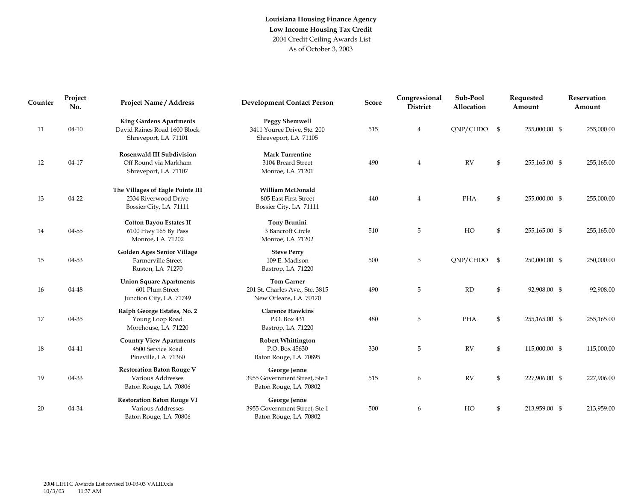| Counter | Project<br>No. | <b>Project Name / Address</b>                                                          | <b>Development Contact Person</b>                                             | <b>Score</b> | Congressional<br><b>District</b> | Sub-Pool<br>Allocation |                | Requested<br>Amount | Reservation<br>Amount |
|---------|----------------|----------------------------------------------------------------------------------------|-------------------------------------------------------------------------------|--------------|----------------------------------|------------------------|----------------|---------------------|-----------------------|
| 11      | $04 - 10$      | <b>King Gardens Apartments</b><br>David Raines Road 1600 Block<br>Shreveport, LA 71101 | <b>Peggy Shemwell</b><br>3411 Youree Drive, Ste. 200<br>Shreveport, LA 71105  | 515          | $\overline{4}$                   | $QNP/CHDO$ \$          |                | 255,000.00 \$       | 255,000.00            |
| 12      | 04-17          | <b>Rosenwald III Subdivision</b><br>Off Round via Markham<br>Shreveport, LA 71107      | <b>Mark Turrentine</b><br>3104 Breard Street<br>Monroe, LA 71201              | 490          | $\overline{4}$                   | <b>RV</b>              | $\mathfrak{S}$ | 255,165.00 \$       | 255,165.00            |
| 13      | 04-22          | The Villages of Eagle Pointe III<br>2334 Riverwood Drive<br>Bossier City, LA 71111     | William McDonald<br>805 East First Street<br>Bossier City, LA 71111           | 440          | $\overline{4}$                   | PHA                    | $\mathfrak{S}$ | 255,000.00 \$       | 255,000.00            |
| 14      | 04-55          | <b>Cotton Bayou Estates II</b><br>6100 Hwy 165 By Pass<br>Monroe, LA 71202             | <b>Tony Brunini</b><br>3 Bancroft Circle<br>Monroe, LA 71202                  | 510          | 5                                | HO                     | $\mathfrak{S}$ | 255,165.00 \$       | 255,165.00            |
| 15      | 04-53          | <b>Golden Ages Senior Village</b><br>Farmerville Street<br>Ruston, LA 71270            | <b>Steve Perry</b><br>109 E. Madison<br>Bastrop, LA 71220                     | 500          | 5                                | $QNP/CHDO$ \$          |                | 250,000.00 \$       | 250,000.00            |
| 16      | 04-48          | <b>Union Square Apartments</b><br>601 Plum Street<br>Junction City, LA 71749           | <b>Tom Garner</b><br>201 St. Charles Ave., Ste. 3815<br>New Orleans, LA 70170 | 490          | 5                                | RD                     | $\mathfrak{S}$ | 92,908.00 \$        | 92,908.00             |
| 17      | 04-35          | Ralph George Estates, No. 2<br>Young Loop Road<br>Morehouse, LA 71220                  | <b>Clarence Hawkins</b><br>P.O. Box 431<br>Bastrop, LA 71220                  | 480          | 5                                | <b>PHA</b>             | $\mathfrak{S}$ | 255,165.00 \$       | 255,165.00            |
| 18      | 04-41          | <b>Country View Apartments</b><br>4500 Service Road<br>Pineville, LA 71360             | <b>Robert Whittington</b><br>P.O. Box 45630<br>Baton Rouge, LA 70895          | 330          | 5                                | <b>RV</b>              | \$             | 115,000.00 \$       | 115,000.00            |
| 19      | 04-33          | <b>Restoration Baton Rouge V</b><br>Various Addresses<br>Baton Rouge, LA 70806         | George Jenne<br>3955 Government Street, Ste 1<br>Baton Rouge, LA 70802        | 515          | 6                                | RV                     | \$             | 227,906.00 \$       | 227,906.00            |
| 20      | 04-34          | <b>Restoration Baton Rouge VI</b><br>Various Addresses<br>Baton Rouge, LA 70806        | George Jenne<br>3955 Government Street, Ste 1<br>Baton Rouge, LA 70802        | 500          | 6                                | HO                     | $\mathfrak{S}$ | 213,959.00 \$       | 213,959.00            |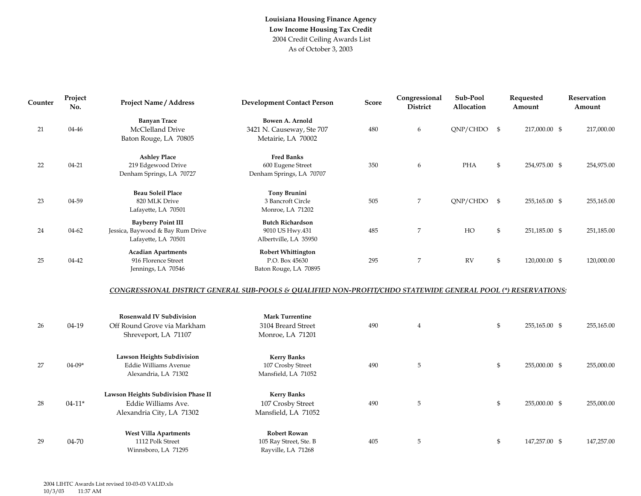| Counter | Project<br>No. | <b>Project Name / Address</b>                                                             | <b>Development Contact Person</b>                                                                             | Score | Congressional<br><b>District</b> | Sub-Pool<br>Allocation |                | Requested<br>Amount | Reservation<br>Amount |
|---------|----------------|-------------------------------------------------------------------------------------------|---------------------------------------------------------------------------------------------------------------|-------|----------------------------------|------------------------|----------------|---------------------|-----------------------|
| 21      | 04-46          | <b>Banyan Trace</b><br>McClelland Drive<br>Baton Rouge, LA 70805                          | Bowen A. Arnold<br>3421 N. Causeway, Ste 707<br>Metairie, LA 70002                                            | 480   | 6                                | $QNP/CHDO$ \$          |                | 217,000.00 \$       | 217,000.00            |
| 22      | $04 - 21$      | <b>Ashley Place</b><br>219 Edgewood Drive<br>Denham Springs, LA 70727                     | <b>Fred Banks</b><br>600 Eugene Street<br>Denham Springs, LA 70707                                            | 350   | 6                                | <b>PHA</b>             | \$             | 254,975.00 \$       | 254,975.00            |
| 23      | 04-59          | <b>Beau Soleil Place</b><br>820 MLK Drive<br>Lafayette, LA 70501                          | <b>Tony Brunini</b><br>3 Bancroft Circle<br>Monroe, LA 71202                                                  | 505   | 7                                | QNP/CHDO               | $\mathfrak{s}$ | 255,165.00 \$       | 255,165.00            |
| 24      | 04-62          | <b>Bayberry Point III</b><br>Jessica, Baywood & Bay Rum Drive<br>Lafayette, LA 70501      | <b>Butch Richardson</b><br>9010 US Hwy.431<br>Albertville, LA 35950                                           | 485   | $\overline{7}$                   | HO                     | \$             | 251,185.00 \$       | 251,185.00            |
| 25      | 04-42          | <b>Acadian Apartments</b><br>916 Florence Street<br>Jennings, LA 70546                    | <b>Robert Whittington</b><br>P.O. Box 45630<br>Baton Rouge, LA 70895                                          | 295   | 7                                | <b>RV</b>              | $\mathfrak{S}$ | 120,000.00 \$       | 120,000.00            |
|         |                |                                                                                           | CONGRESSIONAL DISTRICT GENERAL SUB-POOLS & QUALIFIED NON-PROFIT/CHDO STATEWIDE GENERAL POOL (*) RESERVATIONS: |       |                                  |                        |                |                     |                       |
| 26      | 04-19          | <b>Rosenwald IV Subdivision</b><br>Off Round Grove via Markham<br>Shreveport, LA 71107    | <b>Mark Turrentine</b><br>3104 Breard Street<br>Monroe, LA 71201                                              | 490   | $\overline{4}$                   |                        | \$             | 255,165.00 \$       | 255,165.00            |
| 27      | $04 - 09*$     | <b>Lawson Heights Subdivision</b><br><b>Eddie Williams Avenue</b><br>Alexandria, LA 71302 | <b>Kerry Banks</b><br>107 Crosby Street<br>Mansfield, LA 71052                                                | 490   | 5                                |                        | $\mathfrak{S}$ | 255,000.00 \$       | 255,000.00            |
| 28      | $04 - 11*$     | Lawson Heights Subdivision Phase II<br>Eddie Williams Ave.<br>Alexandria City, LA 71302   | <b>Kerry Banks</b><br>107 Crosby Street<br>Mansfield, LA 71052                                                | 490   | 5                                |                        | $\mathfrak{S}$ | 255,000.00 \$       | 255,000.00            |
| 29      | 04-70          | <b>West Villa Apartments</b><br>1112 Polk Street<br>Winnsboro, LA 71295                   | <b>Robert Rowan</b><br>105 Ray Street, Ste. B<br>Rayville, LA 71268                                           | 405   | 5                                |                        | $\mathfrak{S}$ | 147,257.00 \$       | 147,257.00            |